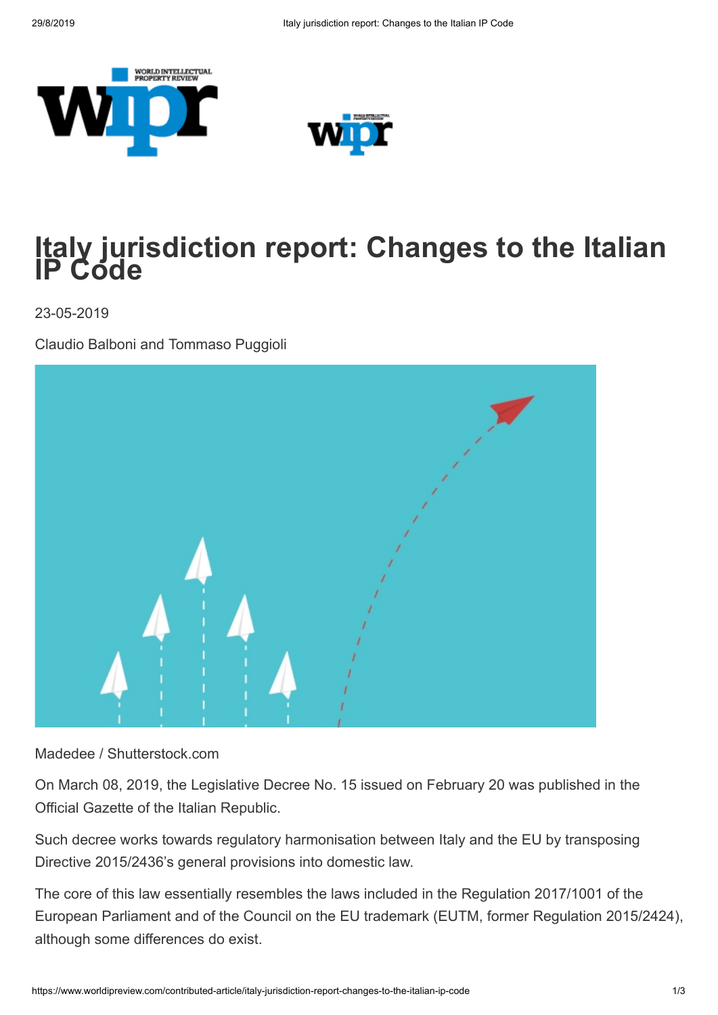



## **Italy jurisdiction report: Changes to the Italian IP Code**

23-05-2019

Claudio Balboni and Tommaso Puggioli



Madedee / Shutterstock.com

On March 08, 2019, the Legislative Decree No. 15 issued on February 20 was published in the Official Gazette of the Italian Republic.

Such decree works towards regulatory harmonisation between Italy and the EU by transposing Directive 2015/2436's general provisions into domestic law.

The core of this law essentially resembles the laws included in the Regulation 2017/1001 of the European Parliament and of the Council on the EU trademark (EUTM, former Regulation 2015/2424), although some differences do exist.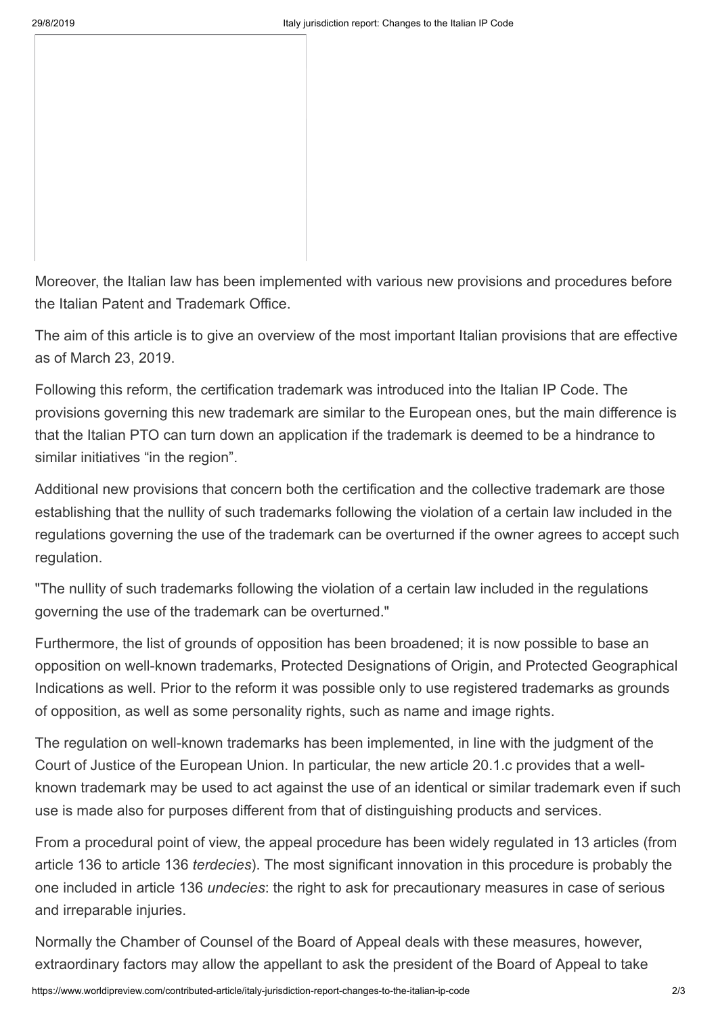Moreover, the Italian law has been implemented with various new provisions and procedures before the Italian Patent and Trademark Office.

The aim of this article is to give an overview of the most important Italian provisions that are effective as of March 23, 2019.

Following this reform, the certification trademark was introduced into the Italian IP Code. The provisions governing this new trademark are similar to the European ones, but the main difference is that the Italian PTO can turn down an application if the trademark is deemed to be a hindrance to similar initiatives "in the region".

Additional new provisions that concern both the certification and the collective trademark are those establishing that the nullity of such trademarks following the violation of a certain law included in the regulations governing the use of the trademark can be overturned if the owner agrees to accept such regulation.

"The nullity of such trademarks following the violation of a certain law included in the regulations governing the use of the trademark can be overturned."

Furthermore, the list of grounds of opposition has been broadened; it is now possible to base an opposition on well-known trademarks, Protected Designations of Origin, and Protected Geographical Indications as well. Prior to the reform it was possible only to use registered trademarks as grounds of opposition, as well as some personality rights, such as name and image rights.

The regulation on well-known trademarks has been implemented, in line with the judgment of the Court of Justice of the European Union. In particular, the new article 20.1.c provides that a wellknown trademark may be used to act against the use of an identical or similar trademark even if such use is made also for purposes different from that of distinguishing products and services.

From a procedural point of view, the appeal procedure has been widely regulated in 13 articles (from article 136 to article 136 *terdecies*). The most significant innovation in this procedure is probably the one included in article 136 *undecies*: the right to ask for precautionary measures in case of serious and irreparable injuries.

Normally the Chamber of Counsel of the Board of Appeal deals with these measures, however, extraordinary factors may allow the appellant to ask the president of the Board of Appeal to take